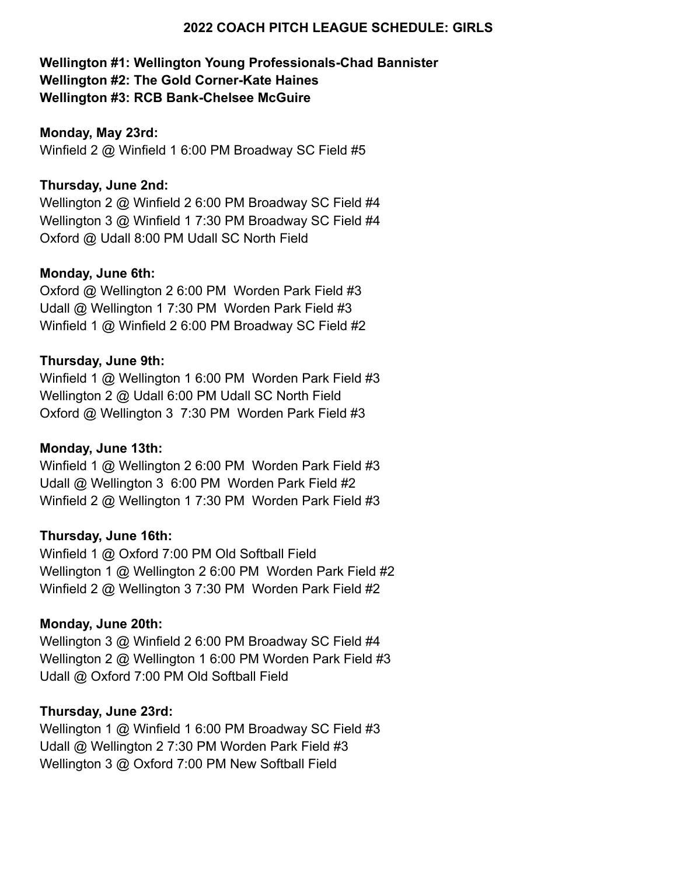## **2022 COACH PITCH LEAGUE SCHEDULE: GIRLS**

# **Wellington #1: Wellington Young Professionals-Chad Bannister Wellington #2: The Gold Corner-Kate Haines Wellington #3: RCB Bank-Chelsee McGuire**

#### **Monday, May 23rd:**

Winfield 2 @ Winfield 1 6:00 PM Broadway SC Field #5

## **Thursday, June 2nd:**

Wellington 2 @ Winfield 2 6:00 PM Broadway SC Field #4 Wellington 3 @ Winfield 1 7:30 PM Broadway SC Field #4 Oxford @ Udall 8:00 PM Udall SC North Field

### **Monday, June 6th:**

Oxford @ Wellington 2 6:00 PM Worden Park Field #3 Udall @ Wellington 1 7:30 PM Worden Park Field #3 Winfield 1 @ Winfield 2 6:00 PM Broadway SC Field #2

### **Thursday, June 9th:**

Winfield 1 @ Wellington 1 6:00 PM Worden Park Field #3 Wellington 2 @ Udall 6:00 PM Udall SC North Field Oxford @ Wellington 3 7:30 PM Worden Park Field #3

### **Monday, June 13th:**

Winfield 1 @ Wellington 2 6:00 PM Worden Park Field #3 Udall @ Wellington 3 6:00 PM Worden Park Field #2 Winfield 2 @ Wellington 1 7:30 PM Worden Park Field #3

### **Thursday, June 16th:**

Winfield 1 @ Oxford 7:00 PM Old Softball Field Wellington 1 @ Wellington 2 6:00 PM Worden Park Field #2 Winfield 2 @ Wellington 3 7:30 PM Worden Park Field #2

### **Monday, June 20th:**

Wellington 3 @ Winfield 2 6:00 PM Broadway SC Field #4 Wellington 2 @ Wellington 1 6:00 PM Worden Park Field #3 Udall @ Oxford 7:00 PM Old Softball Field

#### **Thursday, June 23rd:**

Wellington 1 @ Winfield 1 6:00 PM Broadway SC Field #3 Udall @ Wellington 2 7:30 PM Worden Park Field #3 Wellington 3 @ Oxford 7:00 PM New Softball Field